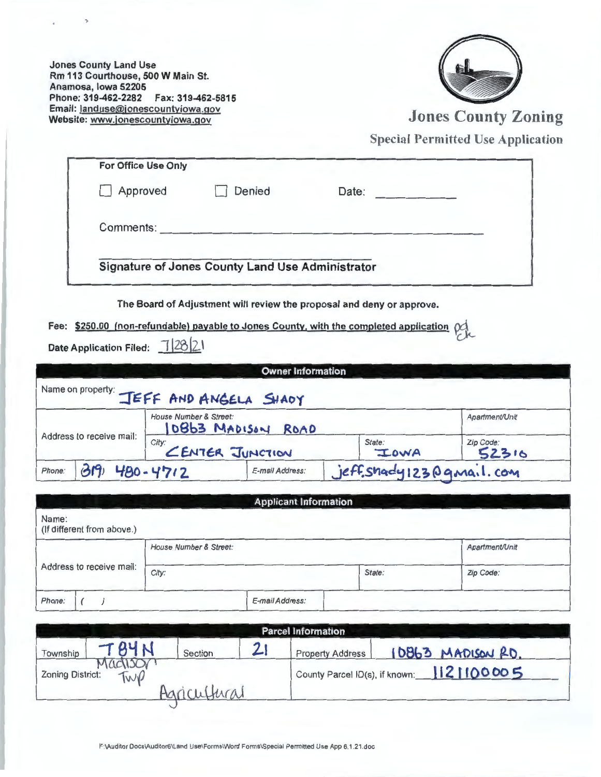Jones County Land Use Rm 113 Courthouse, 500 W Main St. Anamosa, Iowa 52205 Phone: 319-462-2282 Fax: 319-462-5815 Email: landuse@jonescountyiowa.gov<br>Website: www.jonescountyiowa.gov



Jones County Zoning

Special Permitted Use Application

| Approved  | Denied | Date: |  |
|-----------|--------|-------|--|
|           |        |       |  |
| Comments: |        |       |  |

The Board of Adjustment will review the proposal and deny or approve.

Fee: \$250.00 (non-refundable) payable to Jones County, with the completed application  $\operatorname{pd}$ <br>Date Application Filed:  $\frac{1}{28}$ [2.1

| <b>Owner Information</b>                                                       |  |                                         |                         |                      |                |
|--------------------------------------------------------------------------------|--|-----------------------------------------|-------------------------|----------------------|----------------|
|                                                                                |  | Name on property: JEFF AND ANGELA SHADY |                         |                      |                |
| House Number & Street:<br>Address to receive mail:<br>City:<br>CENTER JUNCTION |  | 10863 MADISON                           | ROAD                    |                      | Apartment/Unit |
|                                                                                |  |                                         | State:<br><b>ILOWA</b>  | $Zip Code:$<br>52316 |                |
| 480-4712<br>Phone:                                                             |  | E-mail Address:                         | jeff.shady123@qmail.com |                      |                |

| <b>Applicant Information</b>        |                        |                 |        |                |  |
|-------------------------------------|------------------------|-----------------|--------|----------------|--|
| Name:<br>(If different from above.) |                        |                 |        |                |  |
|                                     | House Number & Street: |                 |        | Apartment/Unit |  |
| Address to receive mail:<br>City:   |                        |                 | State: | Zip Code:      |  |
| Phone:                              |                        | E-mail Address: |        |                |  |

| <b>Parcel Information</b> |                |              |  |                         |                                           |
|---------------------------|----------------|--------------|--|-------------------------|-------------------------------------------|
| Township                  | T84N           | Section      |  | <b>Property Address</b> | 10863 MADISON RD.                         |
| <b>Zoning District:</b>   | ractisc<br>TWP |              |  |                         | County Parcel ID(s), if known: 1121100005 |
|                           |                | Agricultural |  |                         |                                           |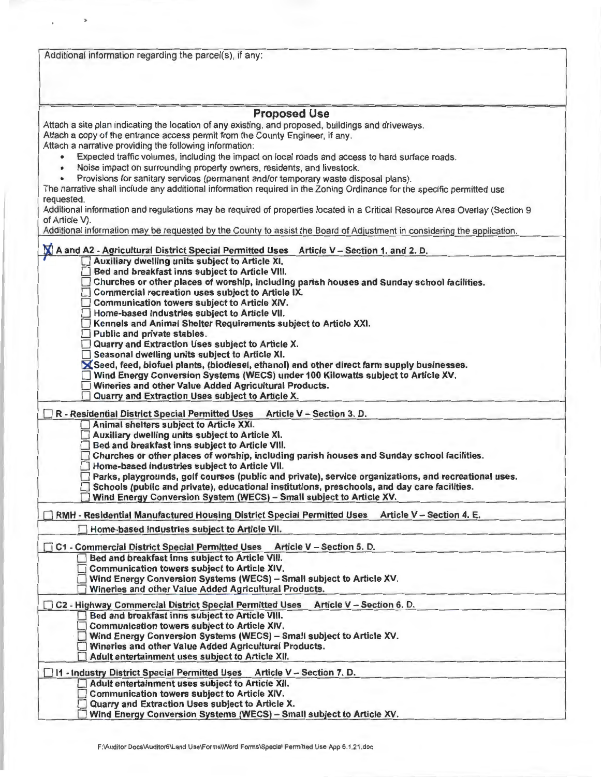| Additional information regarding the parcel(s), if any:                                                                                                                                                                                                                                                                                                                                                                                                                                                                                                                     |  |
|-----------------------------------------------------------------------------------------------------------------------------------------------------------------------------------------------------------------------------------------------------------------------------------------------------------------------------------------------------------------------------------------------------------------------------------------------------------------------------------------------------------------------------------------------------------------------------|--|
| <b>Proposed Use</b>                                                                                                                                                                                                                                                                                                                                                                                                                                                                                                                                                         |  |
| Attach a site plan indicating the location of any existing, and proposed, buildings and driveways.<br>Attach a copy of the entrance access permit from the County Engineer, if any.<br>Attach a narrative providing the following information:                                                                                                                                                                                                                                                                                                                              |  |
| Expected traffic volumes, including the impact on local roads and access to hard surface roads.<br>$\bullet$<br>Noise impact on surrounding property owners, residents, and livestock.                                                                                                                                                                                                                                                                                                                                                                                      |  |
| Provisions for sanitary services (permanent and/or temporary waste disposal plans).<br>The narrative shall include any additional information required in the Zoning Ordinance for the specific permitted use<br>requested.                                                                                                                                                                                                                                                                                                                                                 |  |
| Additional information and regulations may be required of properties located in a Critical Resource Area Overlay (Section 9<br>of Article V).                                                                                                                                                                                                                                                                                                                                                                                                                               |  |
| Additional information may be requested by the County to assist the Board of Adjustment in considering the application.                                                                                                                                                                                                                                                                                                                                                                                                                                                     |  |
| M<br>A and A2 - Agricultural District Special Permitted Uses Article V - Section 1. and 2. D.                                                                                                                                                                                                                                                                                                                                                                                                                                                                               |  |
| Auxiliary dwelling units subject to Article XI.<br>Bed and breakfast inns subject to Article VIII.<br>Churches or other places of worship, including parish houses and Sunday school facilities.<br>Commercial recreation uses subject to Article IX.<br>Communication towers subject to Article XIV.<br>Home-based Industries subject to Article VII.<br>Kennels and Animal Shelter Requirements subject to Article XXI.<br>Public and private stables.                                                                                                                    |  |
| Quarry and Extraction Uses subject to Article X.<br>Seasonal dwelling units subject to Article XI.<br>$\blacktriangleright$ Seed, feed, biofuel plants, (biodiesel, ethanol) and other direct farm supply businesses.<br>Wind Energy Conversion Systems (WECS) under 100 Kilowatts subject to Article XV.<br>Wineries and other Value Added Agricultural Products.<br>Quarry and Extraction Uses subject to Article X.                                                                                                                                                      |  |
| Article V - Section 3. D.<br>R - Residential District Special Permitted Uses                                                                                                                                                                                                                                                                                                                                                                                                                                                                                                |  |
| Animal shelters subject to Article XXI.<br>Auxiliary dwelling units subject to Article XI.<br>Bed and breakfast inns subject to Article VIII.<br>Churches or other places of worship, including parish houses and Sunday school facilities.<br>Home-based industries subject to Article VII.<br>Parks, playgrounds, golf courses (public and private), service organizations, and recreational uses.<br>Schools (public and private), educational institutions, preschools, and day care facilities.<br>Wind Energy Conversion System (WECS) - Small subject to Article XV. |  |
| Article V - Section 4. E.<br>RMH - Residential Manufactured Housing District Special Permitted Uses                                                                                                                                                                                                                                                                                                                                                                                                                                                                         |  |
| Home-based industries subject to Article VII.                                                                                                                                                                                                                                                                                                                                                                                                                                                                                                                               |  |
| Article V - Section 5. D.<br><b>C1 - Commercial District Special Permitted Uses</b><br>Bed and breakfast inns subject to Article VIII.                                                                                                                                                                                                                                                                                                                                                                                                                                      |  |
| <b>Communication towers subject to Article XIV.</b><br>Wind Energy Conversion Systems (WECS) - Small subject to Article XV.<br>Wineries and other Value Added Agricultural Products.                                                                                                                                                                                                                                                                                                                                                                                        |  |
| Article V - Section 6. D.<br>C2 - Highway Commercial District Special Permitted Uses                                                                                                                                                                                                                                                                                                                                                                                                                                                                                        |  |
| Bed and breakfast inns subject to Article VIII.<br>Communication towers subject to Article XIV.<br>Wind Energy Conversion Systems (WECS) - Small subject to Article XV.<br>Wineries and other Value Added Agricultural Products.<br>Adult entertainment uses subject to Article XII.                                                                                                                                                                                                                                                                                        |  |
| □ 11 - Industry District Special Permitted Uses Article V - Section 7. D.                                                                                                                                                                                                                                                                                                                                                                                                                                                                                                   |  |
| Adult entertainment uses subject to Article XII.<br>Communication towers subject to Article XIV.                                                                                                                                                                                                                                                                                                                                                                                                                                                                            |  |
| Quarry and Extraction Uses subject to Article X.<br>Wind Energy Conversion Systems (WECS) - Small subject to Article XV.                                                                                                                                                                                                                                                                                                                                                                                                                                                    |  |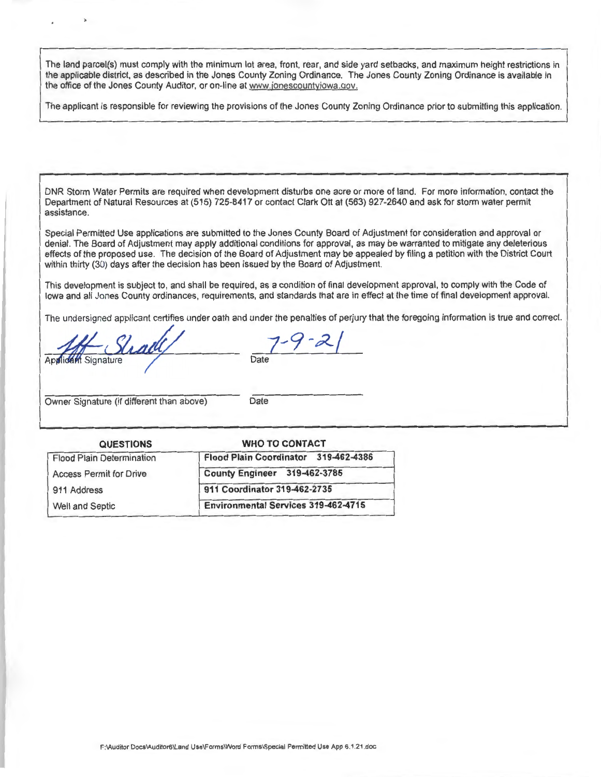The land parcel(s) must comply with the minimum lot area, front, rear, and side yard setbacks, and maximum height restrictions in the applicable district, as described in the Jones County Zoning Ordinance. The Jones County Zoning Ordinance is available in the office of the Jones County Auditor, or on-line at www.jonescountyiowa.gov.

The applicant is responsible for reviewing the provisions of the Jones County Zoning Ordinance prior to submitting this application.

DNR Storm Water Permits are required when development disturbs one acre or more of land. For more information, contact the Department of Natural Resources at (515) 725-8417 or contact Clark Ott at (563) 927-2640 and ask for storm water permit assistance.

Special Permitted Use applications are submitted to the Jones County Board of Adjustment for consideration and approval or denial. The Board of Adjustment may apply additional conditions for approval, as may be warranted to mitigate any deleterious effects of the proposed use. The decision of the Board of Adjustment may be appealed by filing a petition with the District Court within thirty (30) days after the decision has been issued by the Board of Adjustment.

This development is subject to, and shall be required, as a condition of final development approval, to comply with the Code of Iowa and all Jones County ordinances, requirements, and standards that are in effect at the time of final development approval.

The undersigned applicant certifies under oath and under the penalties of perjury that the foregoing information is true and correct.

Applicant Signature **Stractle** Date

Owner Signature (if different than above) Date

| <b>WHO TO CONTACT</b>                      |  |  |
|--------------------------------------------|--|--|
| Flood Plain Coordinator 319-462-4386       |  |  |
| County Engineer 319-462-3785               |  |  |
| 911 Coordinator 319-462-2735               |  |  |
| <b>Environmental Services 319-462-4715</b> |  |  |
|                                            |  |  |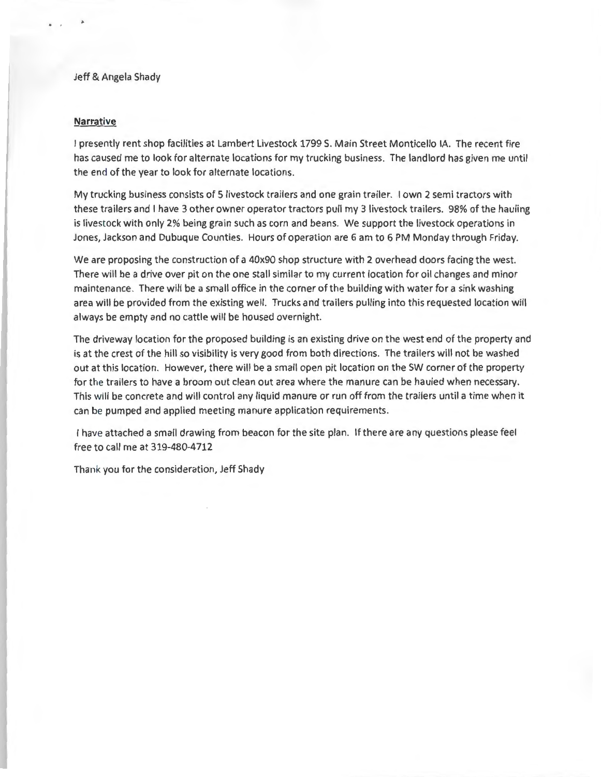## Jeff & Angela Shady

## **Narrative**

I presently rent shop facilities at Lambert Livestock 1799 S. Main Street Monticello IA. The recent fire has caused me to look for alternate locations for my trucking business. The landlord has given me until the end of the year to look for alternate locations.

My trucking business consists of 5 livestock trailers and one grain trailer. I own 2 semi tractors with these trailers and I have 3 other owner operator tractors pull my 3 livestock trailers. 98% of the hauling is livestock with only 2% being grain such as corn and beans. We support the livestock operations in Jones, Jackson and Dubuque Counties. Hours of operation are 6 am to 6 PM Monday through Friday.

We are proposing the construction of a 40x90 shop structure with 2 overhead doors facing the west. There will be a drive over pit on the one stall similar to my current location for oil changes and minor maintenance. There will be a small office in the corner of the building with water for a sink washing area will be provided from the existing well. Trucks and trailers pulling into this requested location will always be empty and no cattle will be housed overnight.

The driveway location for the proposed building is an existing drive on the west end of the property and is at the crest of the hill so visibility is very good from both directions. The trailers will not be washed out at this location. However, there will be a small open pit location on the SW corner of the property for the trailers to have a broom out clean out area where the manure can be hauled when necessary. This will be concrete and will control any liquid manure or run off from the trailers until a time when it can be pumped and applied meeting manure application requirements.

I have attached a small drawing from beacon for the site plan. If there are any questions please feel free to call me at 319-480-4712

Thank you for the consideration, Jeff Shady